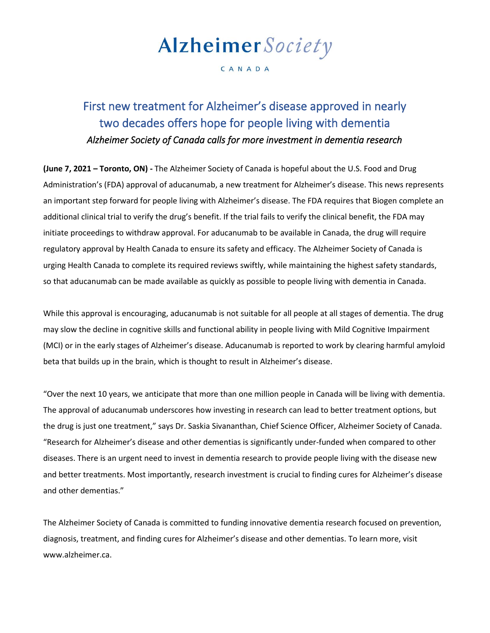# Alzheimer Society

#### CANADA

## First new treatment for Alzheimer's disease approved in nearly two decades offers hope for people living with dementia *Alzheimer Society of Canada calls for more investment in dementia research*

**(June 7, 2021 – Toronto, ON) -** The Alzheimer Society of Canada is hopeful about the U.S. Food and Drug Administration's (FDA) approval of aducanumab, a new treatment for Alzheimer's disease. This news represents an important step forward for people living with Alzheimer's disease. The FDA requires that Biogen complete an additional clinical trial to verify the drug's benefit. If the trial fails to verify the clinical benefit, the FDA may initiate proceedings to withdraw approval. For aducanumab to be available in Canada, the drug will require regulatory approval by Health Canada to ensure its safety and efficacy. The Alzheimer Society of Canada is urging Health Canada to complete its required reviews swiftly, while maintaining the highest safety standards, so that aducanumab can be made available as quickly as possible to people living with dementia in Canada.

While this approval is encouraging, aducanumab is not suitable for all people at all stages of dementia. The drug may slow the decline in cognitive skills and functional ability in people living with Mild Cognitive Impairment (MCI) or in the early stages of Alzheimer's disease. Aducanumab is reported to work by clearing harmful amyloid beta that builds up in the brain, which is thought to result in Alzheimer's disease.

"Over the next 10 years, we anticipate that more than one million people in Canada will be living with dementia. The approval of aducanumab underscores how investing in research can lead to better treatment options, but the drug is just one treatment," says Dr. Saskia Sivananthan, Chief Science Officer, Alzheimer Society of Canada. "Research for Alzheimer's disease and other dementias is significantly under-funded when compared to other diseases. There is an urgent need to invest in dementia research to provide people living with the disease new and better treatments. Most importantly, research investment is crucial to finding cures for Alzheimer's disease and other dementias."

The Alzheimer Society of Canada is committed to funding innovative dementia research focused on prevention, diagnosis, treatment, and finding cures for Alzheimer's disease and other dementias. To learn more, visit www.alzheimer.ca.